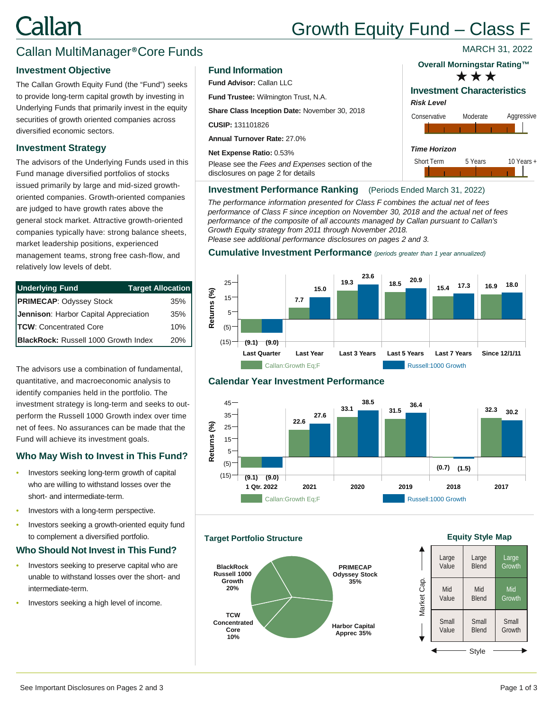# Callan

# Growth Equity Fund – Class F

### Callan MultiManager®Core Funds

#### **Investment Objective**

The Callan Growth Equity Fund (the "Fund") seeks to provide long-term capital growth by investing in Underlying Funds that primarily invest in the equity securities of growth oriented companies across diversified economic sectors.

#### **Investment Strategy**

The advisors of the Underlying Funds used in this Fund manage diversified portfolios of stocks issued primarily by large and mid-sized growthoriented companies. Growth-oriented companies are judged to have growth rates above the general stock market. Attractive growth-oriented companies typically have: strong balance sheets, market leadership positions, experienced management teams, strong free cash-flow, and relatively low levels of debt.

| <b>Underlying Fund</b>                      | <b>Target Allocation</b> |
|---------------------------------------------|--------------------------|
| <b>PRIMECAP: Odyssey Stock</b>              | $35\%$                   |
| Jennison: Harbor Capital Appreciation       | 35%                      |
| <b>TCW: Concentrated Core</b>               | 10%                      |
| <b>BlackRock: Russell 1000 Growth Index</b> | 20%                      |

The advisors use a combination of fundamental, quantitative, and macroeconomic analysis to identify companies held in the portfolio. The investment strategy is long-term and seeks to outperform the Russell 1000 Growth index over time net of fees. No assurances can be made that the Fund will achieve its investment goals.

#### **Who May Wish to Invest in This Fund?**

- Investors seeking long-term growth of capital who are willing to withstand losses over the short- and intermediate-term.
- Investors with a long-term perspective.
- Investors seeking a growth-oriented equity fund to complement a diversified portfolio.

#### **Who Should Not Invest in This Fund?**

- Investors seeking to preserve capital who are unable to withstand losses over the short- and intermediate-term.
- Investors seeking a high level of income.

#### **Fund Information**

**Fund Advisor:** Callan LLC

**Fund Trustee:** Wilmington Trust, N.A.

**Share Class Inception Date:** November 30, 2018

**CUSIP:** 131101826

**Annual Turnover Rate:** 27.0%

**Net Expense Ratio:** 0.53%

Please see the *Fees and Expenses* section of the disclosures on page 2 for details

#### **Overall Morningstar Rating™**

MARCH 31, 2022



### **Investment Characteristics**

#### *Risk Level*



#### **Investment Performance Ranking** (Periods Ended March 31, 2022)

*The performance information presented for Class F combines the actual net of fees performance of Class F since inception on November 30, 2018 and the actual net of fees performance of the composite of all accounts managed by Callan pursuant to Callan's Growth Equity strategy from 2011 through November 2018. Please see additional performance disclosures on pages 2 and 3.*

**Cumulative Investment Performance** *(periods greater than 1 year annualized)*





**Target Portfolio Structure**



**Calendar Year Investment Performance**

#### **Equity Style Map**

|             | Large | Large        | Large  |
|-------------|-------|--------------|--------|
|             | Value | <b>Blend</b> | Growth |
| Market Cap. | Mid   | Mid          | Mid    |
|             | Value | <b>Blend</b> | Growth |
|             | Small | Small        | Small  |
|             | Value | <b>Blend</b> | Growth |
|             |       | <b>Style</b> |        |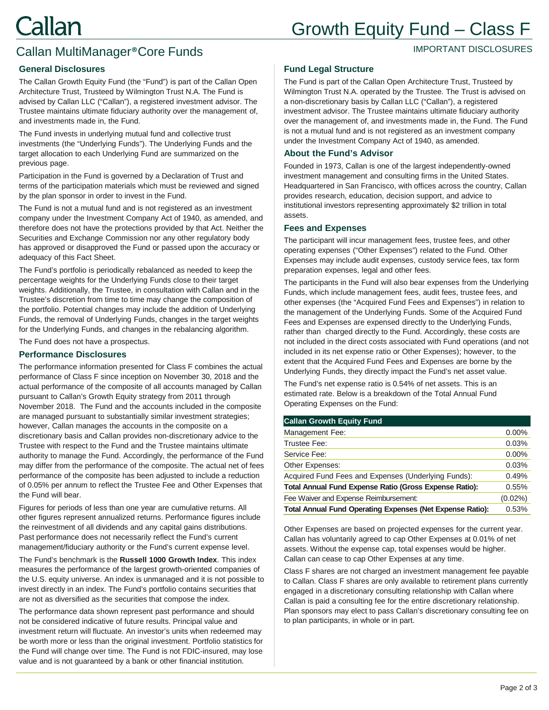# Growth Equity Fund – Class F

#### IMPORTANT DISCLOSURES

## Callan MultiManager®Core Funds

#### **General Disclosures**

The Callan Growth Equity Fund (the "Fund") is part of the Callan Open Architecture Trust, Trusteed by Wilmington Trust N.A. The Fund is advised by Callan LLC ("Callan"), a registered investment advisor. The Trustee maintains ultimate fiduciary authority over the management of, and investments made in, the Fund.

The Fund invests in underlying mutual fund and collective trust investments (the "Underlying Funds"). The Underlying Funds and the target allocation to each Underlying Fund are summarized on the previous page.

Participation in the Fund is governed by a Declaration of Trust and terms of the participation materials which must be reviewed and signed by the plan sponsor in order to invest in the Fund.

The Fund is not a mutual fund and is not registered as an investment company under the Investment Company Act of 1940, as amended, and therefore does not have the protections provided by that Act. Neither the Securities and Exchange Commission nor any other regulatory body has approved or disapproved the Fund or passed upon the accuracy or adequacy of this Fact Sheet.

The Fund's portfolio is periodically rebalanced as needed to keep the percentage weights for the Underlying Funds close to their target weights. Additionally, the Trustee, in consultation with Callan and in the Trustee's discretion from time to time may change the composition of the portfolio. Potential changes may include the addition of Underlying Funds, the removal of Underlying Funds, changes in the target weights for the Underlying Funds, and changes in the rebalancing algorithm.

The Fund does not have a prospectus.

#### **Performance Disclosures**

The performance information presented for Class F combines the actual performance of Class F since inception on November 30, 2018 and the actual performance of the composite of all accounts managed by Callan pursuant to Callan's Growth Equity strategy from 2011 through November 2018. The Fund and the accounts included in the composite are managed pursuant to substantially similar investment strategies; however, Callan manages the accounts in the composite on a discretionary basis and Callan provides non-discretionary advice to the Trustee with respect to the Fund and the Trustee maintains ultimate authority to manage the Fund. Accordingly, the performance of the Fund may differ from the performance of the composite. The actual net of fees performance of the composite has been adjusted to include a reduction of 0.05% per annum to reflect the Trustee Fee and Other Expenses that the Fund will bear.

Figures for periods of less than one year are cumulative returns. All other figures represent annualized returns. Performance figures include the reinvestment of all dividends and any capital gains distributions. Past performance does not necessarily reflect the Fund's current management/fiduciary authority or the Fund's current expense level.

The Fund's benchmark is the **Russell 1000 Growth Index**. This index measures the performance of the largest growth-oriented companies of the U.S. equity universe. An index is unmanaged and it is not possible to invest directly in an index. The Fund's portfolio contains securities that are not as diversified as the securities that compose the index.

The performance data shown represent past performance and should not be considered indicative of future results. Principal value and investment return will fluctuate. An investor's units when redeemed may be worth more or less than the original investment. Portfolio statistics for the Fund will change over time. The Fund is not FDIC-insured, may lose value and is not guaranteed by a bank or other financial institution.

#### **Fund Legal Structure**

The Fund is part of the Callan Open Architecture Trust, Trusteed by Wilmington Trust N.A. operated by the Trustee. The Trust is advised on a non-discretionary basis by Callan LLC ("Callan"), a registered investment advisor. The Trustee maintains ultimate fiduciary authority over the management of, and investments made in, the Fund. The Fund is not a mutual fund and is not registered as an investment company under the Investment Company Act of 1940, as amended.

#### **About the Fund's Advisor**

Founded in 1973, Callan is one of the largest independently-owned investment management and consulting firms in the United States. Headquartered in San Francisco, with offices across the country, Callan provides research, education, decision support, and advice to institutional investors representing approximately \$2 trillion in total assets.

#### **Fees and Expenses**

The participant will incur management fees, trustee fees, and other operating expenses ("Other Expenses") related to the Fund. Other Expenses may include audit expenses, custody service fees, tax form preparation expenses, legal and other fees.

The participants in the Fund will also bear expenses from the Underlying Funds, which include management fees, audit fees, trustee fees, and other expenses (the "Acquired Fund Fees and Expenses") in relation to the management of the Underlying Funds. Some of the Acquired Fund Fees and Expenses are expensed directly to the Underlying Funds, rather than charged directly to the Fund. Accordingly, these costs are not included in the direct costs associated with Fund operations (and not included in its net expense ratio or Other Expenses); however, to the extent that the Acquired Fund Fees and Expenses are borne by the Underlying Funds, they directly impact the Fund's net asset value.

The Fund's net expense ratio is 0.54% of net assets. This is an estimated rate. Below is a breakdown of the Total Annual Fund Operating Expenses on the Fund:

#### **Callan Growth Equity Fund**

| Management Fee:                                                  | 0.00%      |
|------------------------------------------------------------------|------------|
| Trustee Fee:                                                     | 0.03%      |
| Service Fee:                                                     | 0.00%      |
| Other Expenses:                                                  | 0.03%      |
| Acquired Fund Fees and Expenses (Underlying Funds):              | 0.49%      |
| Total Annual Fund Expense Ratio (Gross Expense Ratio):           | 0.55%      |
| Fee Waiver and Expense Reimbursement:                            | $(0.02\%)$ |
| <b>Total Annual Fund Operating Expenses (Net Expense Ratio):</b> |            |

Other Expenses are based on projected expenses for the current year. Callan has voluntarily agreed to cap Other Expenses at 0.01% of net assets. Without the expense cap, total expenses would be higher. Callan can cease to cap Other Expenses at any time.

Class F shares are not charged an investment management fee payable to Callan. Class F shares are only available to retirement plans currently engaged in a discretionary consulting relationship with Callan where Callan is paid a consulting fee for the entire discretionary relationship. Plan sponsors may elect to pass Callan's discretionary consulting fee on to plan participants, in whole or in part.